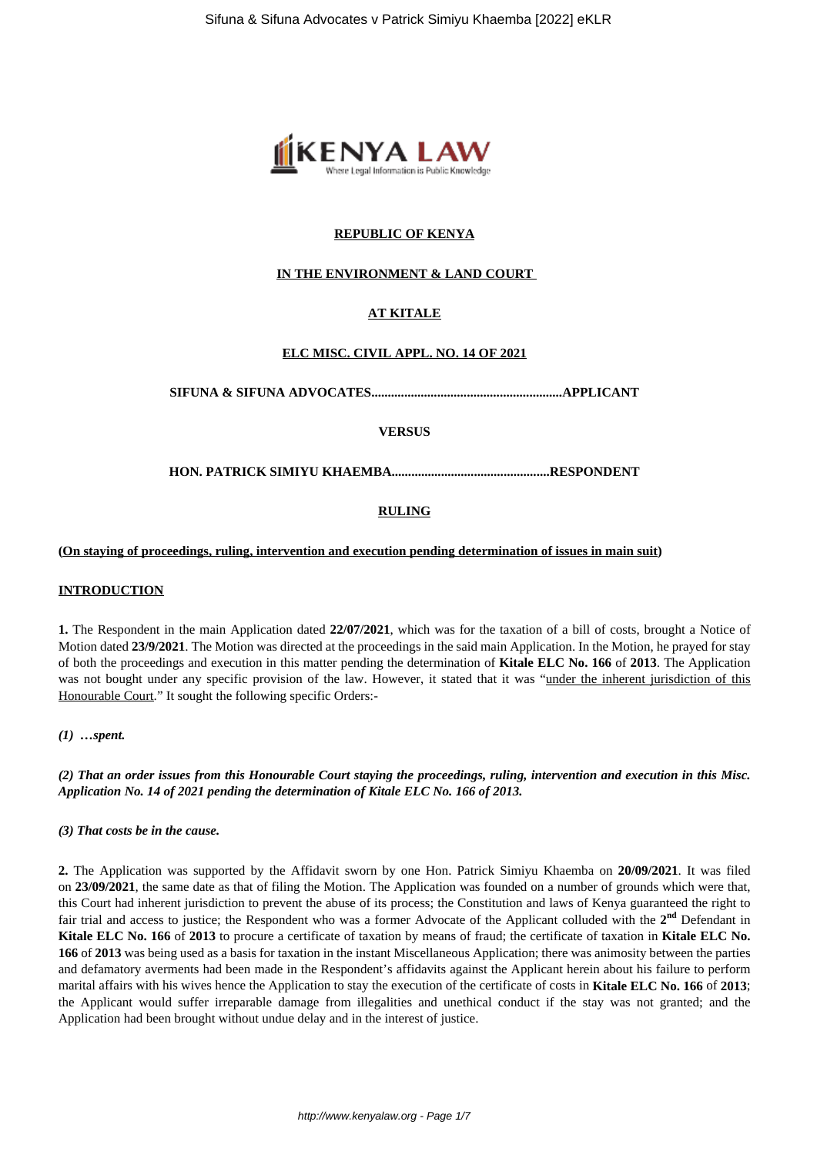

# **REPUBLIC OF KENYA**

# **IN THE ENVIRONMENT & LAND COURT**

# **AT KITALE**

### **ELC MISC. CIVIL APPL. NO. 14 OF 2021**

**SIFUNA & SIFUNA ADVOCATES..........................................................APPLICANT**

**VERSUS**

**HON. PATRICK SIMIYU KHAEMBA................................................RESPONDENT**

# **RULING**

#### **(On staying of proceedings, ruling, intervention and execution pending determination of issues in main suit)**

#### **INTRODUCTION**

**1.** The Respondent in the main Application dated **22/07/2021**, which was for the taxation of a bill of costs, brought a Notice of Motion dated **23/9/2021**. The Motion was directed at the proceedings in the said main Application. In the Motion, he prayed for stay of both the proceedings and execution in this matter pending the determination of **Kitale ELC No. 166** of **2013**. The Application was not bought under any specific provision of the law. However, it stated that it was "under the inherent jurisdiction of this Honourable Court." It sought the following specific Orders:-

#### *(1) …spent.*

*(2) That an order issues from this Honourable Court staying the proceedings, ruling, intervention and execution in this Misc. Application No. 14 of 2021 pending the determination of Kitale ELC No. 166 of 2013.*

#### *(3) That costs be in the cause.*

**2.** The Application was supported by the Affidavit sworn by one Hon. Patrick Simiyu Khaemba on **20/09/2021**. It was filed on **23/09/2021**, the same date as that of filing the Motion. The Application was founded on a number of grounds which were that, this Court had inherent jurisdiction to prevent the abuse of its process; the Constitution and laws of Kenya guaranteed the right to fair trial and access to justice; the Respondent who was a former Advocate of the Applicant colluded with the 2<sup>nd</sup> Defendant in **Kitale ELC No. 166** of **2013** to procure a certificate of taxation by means of fraud; the certificate of taxation in **Kitale ELC No. 166** of **2013** was being used as a basis for taxation in the instant Miscellaneous Application; there was animosity between the parties and defamatory averments had been made in the Respondent's affidavits against the Applicant herein about his failure to perform marital affairs with his wives hence the Application to stay the execution of the certificate of costs in **Kitale ELC No. 166** of **2013**; the Applicant would suffer irreparable damage from illegalities and unethical conduct if the stay was not granted; and the Application had been brought without undue delay and in the interest of justice.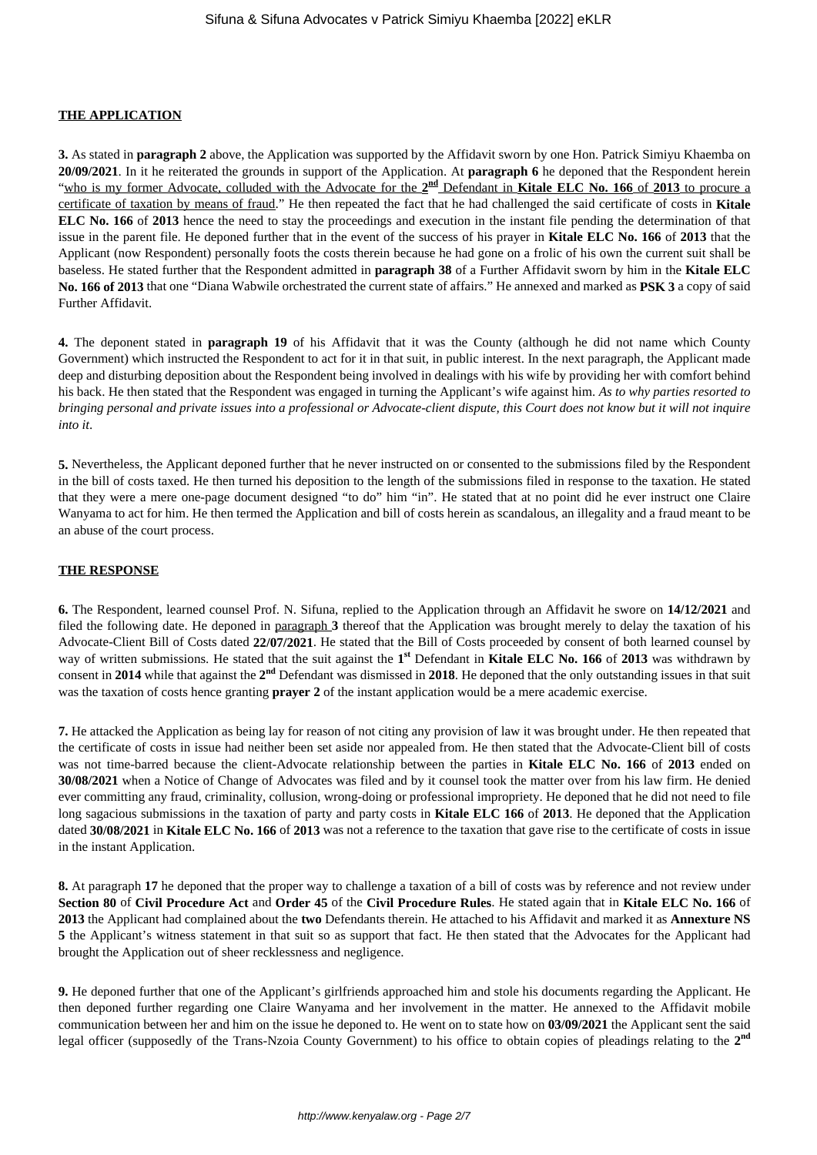# **THE APPLICATION**

**3.** As stated in **paragraph 2** above, the Application was supported by the Affidavit sworn by one Hon. Patrick Simiyu Khaemba on **20/09/2021**. In it he reiterated the grounds in support of the Application. At **paragraph 6** he deponed that the Respondent herein "who is my former Advocate, colluded with the Advocate for the  $2^{nd}$  Defendant in **Kitale ELC No. 166** of 2013 to procure a certificate of taxation by means of fraud." He then repeated the fact that he had challenged the said certificate of costs in **Kitale ELC No. 166** of **2013** hence the need to stay the proceedings and execution in the instant file pending the determination of that issue in the parent file. He deponed further that in the event of the success of his prayer in **Kitale ELC No. 166** of **2013** that the Applicant (now Respondent) personally foots the costs therein because he had gone on a frolic of his own the current suit shall be baseless. He stated further that the Respondent admitted in **paragraph 38** of a Further Affidavit sworn by him in the **Kitale ELC No. 166 of 2013** that one "Diana Wabwile orchestrated the current state of affairs." He annexed and marked as **PSK 3** a copy of said Further Affidavit.

**4.** The deponent stated in **paragraph 19** of his Affidavit that it was the County (although he did not name which County Government) which instructed the Respondent to act for it in that suit, in public interest. In the next paragraph, the Applicant made deep and disturbing deposition about the Respondent being involved in dealings with his wife by providing her with comfort behind his back. He then stated that the Respondent was engaged in turning the Applicant's wife against him. *As to why parties resorted to bringing personal and private issues into a professional or Advocate-client dispute, this Court does not know but it will not inquire into it*.

**5.** Nevertheless, the Applicant deponed further that he never instructed on or consented to the submissions filed by the Respondent in the bill of costs taxed. He then turned his deposition to the length of the submissions filed in response to the taxation. He stated that they were a mere one-page document designed "to do" him "in". He stated that at no point did he ever instruct one Claire Wanyama to act for him. He then termed the Application and bill of costs herein as scandalous, an illegality and a fraud meant to be an abuse of the court process.

#### **THE RESPONSE**

**6.** The Respondent, learned counsel Prof. N. Sifuna, replied to the Application through an Affidavit he swore on **14/12/2021** and filed the following date. He deponed in paragraph **3** thereof that the Application was brought merely to delay the taxation of his Advocate-Client Bill of Costs dated **22/07/2021**. He stated that the Bill of Costs proceeded by consent of both learned counsel by way of written submissions. He stated that the suit against the 1<sup>st</sup> Defendant in **Kitale ELC No. 166** of 2013 was withdrawn by consent in **2014** while that against the **2 nd** Defendant was dismissed in **2018**. He deponed that the only outstanding issues in that suit was the taxation of costs hence granting **prayer 2** of the instant application would be a mere academic exercise.

**7.** He attacked the Application as being lay for reason of not citing any provision of law it was brought under. He then repeated that the certificate of costs in issue had neither been set aside nor appealed from. He then stated that the Advocate-Client bill of costs was not time-barred because the client-Advocate relationship between the parties in **Kitale ELC No. 166** of **2013** ended on **30/08/2021** when a Notice of Change of Advocates was filed and by it counsel took the matter over from his law firm. He denied ever committing any fraud, criminality, collusion, wrong-doing or professional impropriety. He deponed that he did not need to file long sagacious submissions in the taxation of party and party costs in **Kitale ELC 166** of **2013**. He deponed that the Application dated **30/08/2021** in **Kitale ELC No. 166** of **2013** was not a reference to the taxation that gave rise to the certificate of costs in issue in the instant Application.

**8.** At paragraph **17** he deponed that the proper way to challenge a taxation of a bill of costs was by reference and not review under **Section 80** of **Civil Procedure Act** and **Order 45** of the **Civil Procedure Rules**. He stated again that in **Kitale ELC No. 166** of **2013** the Applicant had complained about the **two** Defendants therein. He attached to his Affidavit and marked it as **Annexture NS 5** the Applicant's witness statement in that suit so as support that fact. He then stated that the Advocates for the Applicant had brought the Application out of sheer recklessness and negligence.

**9.** He deponed further that one of the Applicant's girlfriends approached him and stole his documents regarding the Applicant. He then deponed further regarding one Claire Wanyama and her involvement in the matter. He annexed to the Affidavit mobile communication between her and him on the issue he deponed to. He went on to state how on **03/09/2021** the Applicant sent the said legal officer (supposedly of the Trans-Nzoia County Government) to his office to obtain copies of pleadings relating to the **2nd**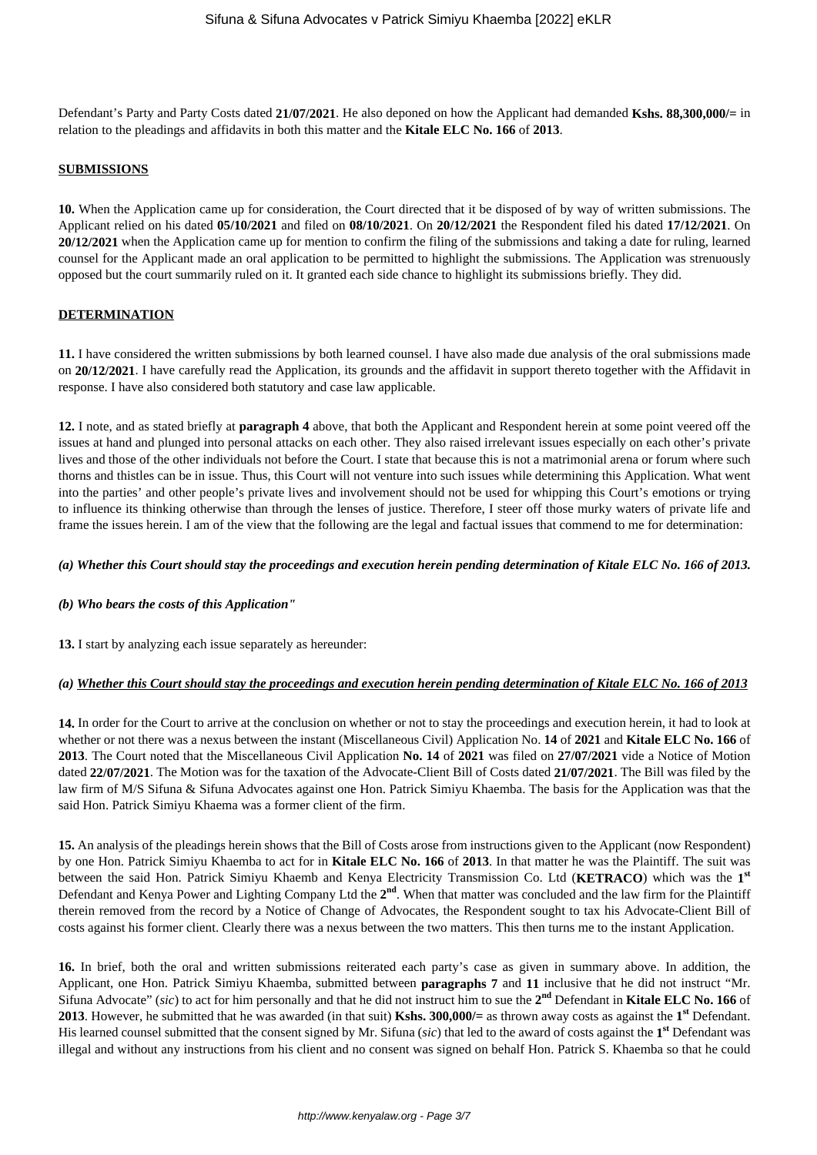Defendant's Party and Party Costs dated **21/07/2021**. He also deponed on how the Applicant had demanded **Kshs. 88,300,000/=** in relation to the pleadings and affidavits in both this matter and the **Kitale ELC No. 166** of **2013**.

### **SUBMISSIONS**

**10.** When the Application came up for consideration, the Court directed that it be disposed of by way of written submissions. The Applicant relied on his dated **05/10/2021** and filed on **08/10/2021**. On **20/12/2021** the Respondent filed his dated **17/12/2021**. On **20/12/2021** when the Application came up for mention to confirm the filing of the submissions and taking a date for ruling, learned counsel for the Applicant made an oral application to be permitted to highlight the submissions. The Application was strenuously opposed but the court summarily ruled on it. It granted each side chance to highlight its submissions briefly. They did.

### **DETERMINATION**

**11.** I have considered the written submissions by both learned counsel. I have also made due analysis of the oral submissions made on **20/12/2021**. I have carefully read the Application, its grounds and the affidavit in support thereto together with the Affidavit in response. I have also considered both statutory and case law applicable.

**12.** I note, and as stated briefly at **paragraph 4** above, that both the Applicant and Respondent herein at some point veered off the issues at hand and plunged into personal attacks on each other. They also raised irrelevant issues especially on each other's private lives and those of the other individuals not before the Court. I state that because this is not a matrimonial arena or forum where such thorns and thistles can be in issue. Thus, this Court will not venture into such issues while determining this Application. What went into the parties' and other people's private lives and involvement should not be used for whipping this Court's emotions or trying to influence its thinking otherwise than through the lenses of justice. Therefore, I steer off those murky waters of private life and frame the issues herein. I am of the view that the following are the legal and factual issues that commend to me for determination:

# *(a) Whether this Court should stay the proceedings and execution herein pending determination of Kitale ELC No. 166 of 2013.*

# *(b) Who bears the costs of this Application"*

**13.** I start by analyzing each issue separately as hereunder:

# *(a) Whether this Court should stay the proceedings and execution herein pending determination of Kitale ELC No. 166 of 2013*

**14.** In order for the Court to arrive at the conclusion on whether or not to stay the proceedings and execution herein, it had to look at whether or not there was a nexus between the instant (Miscellaneous Civil) Application No. **14** of **2021** and **Kitale ELC No. 166** of **2013**. The Court noted that the Miscellaneous Civil Application **No. 14** of **2021** was filed on **27/07/2021** vide a Notice of Motion dated **22/07/2021**. The Motion was for the taxation of the Advocate-Client Bill of Costs dated **21/07/2021**. The Bill was filed by the law firm of M/S Sifuna & Sifuna Advocates against one Hon. Patrick Simiyu Khaemba. The basis for the Application was that the said Hon. Patrick Simiyu Khaema was a former client of the firm.

**15.** An analysis of the pleadings herein shows that the Bill of Costs arose from instructions given to the Applicant (now Respondent) by one Hon. Patrick Simiyu Khaemba to act for in **Kitale ELC No. 166** of **2013**. In that matter he was the Plaintiff. The suit was between the said Hon. Patrick Simiyu Khaemb and Kenya Electricity Transmission Co. Ltd (**KETRACO**) which was the **1 st** Defendant and Kenya Power and Lighting Company Ltd the 2<sup>nd</sup>. When that matter was concluded and the law firm for the Plaintiff therein removed from the record by a Notice of Change of Advocates, the Respondent sought to tax his Advocate-Client Bill of costs against his former client. Clearly there was a nexus between the two matters. This then turns me to the instant Application.

**16.** In brief, both the oral and written submissions reiterated each party's case as given in summary above. In addition, the Applicant, one Hon. Patrick Simiyu Khaemba, submitted between **paragraphs 7** and **11** inclusive that he did not instruct "Mr. Sifuna Advocate" (*sic*) to act for him personally and that he did not instruct him to sue the **2 nd** Defendant in **Kitale ELC No. 166** of **2013**. However, he submitted that he was awarded (in that suit) **Kshs. 300,000/=** as thrown away costs as against the **1 st** Defendant. His learned counsel submitted that the consent signed by Mr. Sifuna (*sic*) that led to the award of costs against the **1 st** Defendant was illegal and without any instructions from his client and no consent was signed on behalf Hon. Patrick S. Khaemba so that he could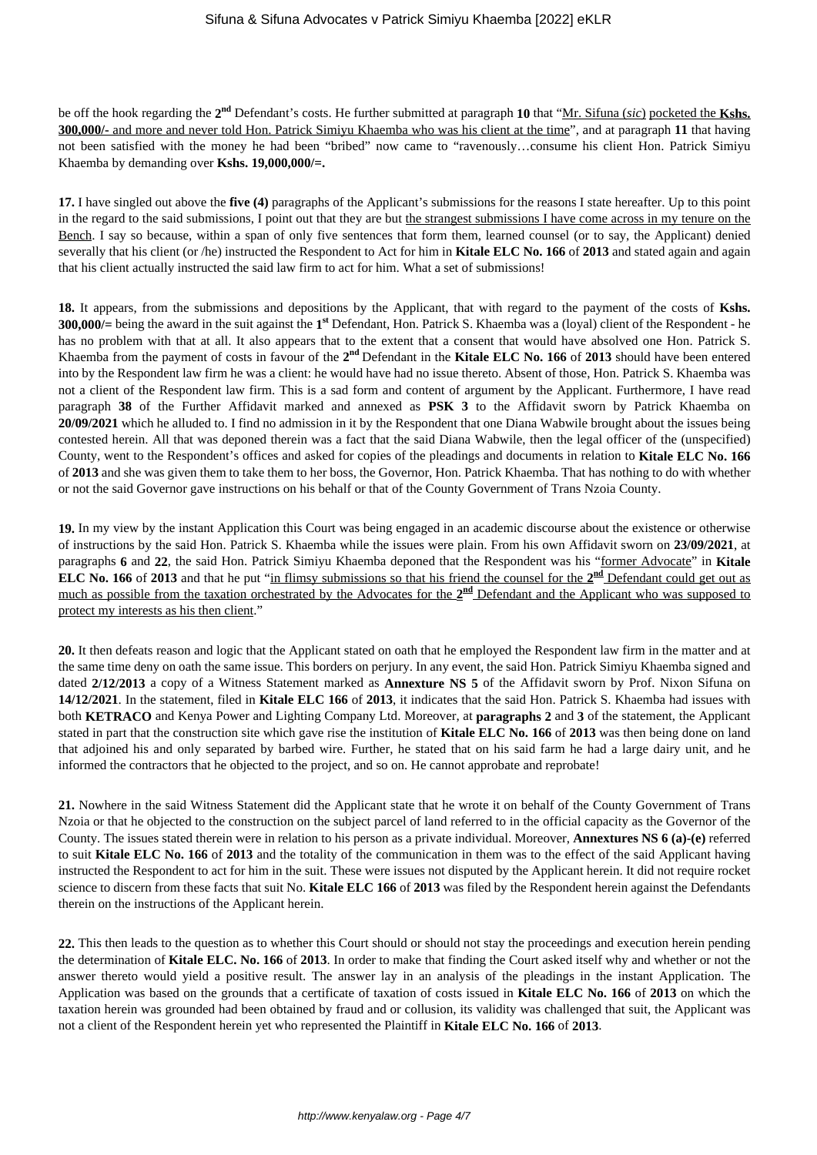be off the hook regarding the **2 nd** Defendant's costs. He further submitted at paragraph **10** that "Mr. Sifuna (*sic*) pocketed the **Kshs. 300,000/-** and more and never told Hon. Patrick Simiyu Khaemba who was his client at the time", and at paragraph **11** that having not been satisfied with the money he had been "bribed" now came to "ravenously…consume his client Hon. Patrick Simiyu Khaemba by demanding over **Kshs. 19,000,000/=.**

**17.** I have singled out above the **five (4)** paragraphs of the Applicant's submissions for the reasons I state hereafter. Up to this point in the regard to the said submissions, I point out that they are but the strangest submissions I have come across in my tenure on the Bench. I say so because, within a span of only five sentences that form them, learned counsel (or to say, the Applicant) denied severally that his client (or /he) instructed the Respondent to Act for him in **Kitale ELC No. 166** of **2013** and stated again and again that his client actually instructed the said law firm to act for him. What a set of submissions!

**18.** It appears, from the submissions and depositions by the Applicant, that with regard to the payment of the costs of **Kshs. 300,000/=** being the award in the suit against the **1 st** Defendant, Hon. Patrick S. Khaemba was a (loyal) client of the Respondent - he has no problem with that at all. It also appears that to the extent that a consent that would have absolved one Hon. Patrick S. Khaemba from the payment of costs in favour of the 2<sup>nd</sup> Defendant in the Kitale ELC No. 166 of 2013 should have been entered into by the Respondent law firm he was a client: he would have had no issue thereto. Absent of those, Hon. Patrick S. Khaemba was not a client of the Respondent law firm. This is a sad form and content of argument by the Applicant. Furthermore, I have read paragraph **38** of the Further Affidavit marked and annexed as **PSK 3** to the Affidavit sworn by Patrick Khaemba on **20/09/2021** which he alluded to. I find no admission in it by the Respondent that one Diana Wabwile brought about the issues being contested herein. All that was deponed therein was a fact that the said Diana Wabwile, then the legal officer of the (unspecified) County, went to the Respondent's offices and asked for copies of the pleadings and documents in relation to **Kitale ELC No. 166** of **2013** and she was given them to take them to her boss, the Governor, Hon. Patrick Khaemba. That has nothing to do with whether or not the said Governor gave instructions on his behalf or that of the County Government of Trans Nzoia County.

**19.** In my view by the instant Application this Court was being engaged in an academic discourse about the existence or otherwise of instructions by the said Hon. Patrick S. Khaemba while the issues were plain. From his own Affidavit sworn on **23/09/2021**, at paragraphs **6** and **22**, the said Hon. Patrick Simiyu Khaemba deponed that the Respondent was his "former Advocate" in **Kitale ELC No. 166** of 2013 and that he put "in flimsy submissions so that his friend the counsel for the 2<sup>nd</sup> Defendant could get out as much as possible from the taxation orchestrated by the Advocates for the 2<sup>nd</sup> Defendant and the Applicant who was supposed to protect my interests as his then client."

**20.** It then defeats reason and logic that the Applicant stated on oath that he employed the Respondent law firm in the matter and at the same time deny on oath the same issue. This borders on perjury. In any event, the said Hon. Patrick Simiyu Khaemba signed and dated **2/12/2013** a copy of a Witness Statement marked as **Annexture NS 5** of the Affidavit sworn by Prof. Nixon Sifuna on **14/12/2021**. In the statement, filed in **Kitale ELC 166** of **2013**, it indicates that the said Hon. Patrick S. Khaemba had issues with both **KETRACO** and Kenya Power and Lighting Company Ltd. Moreover, at **paragraphs 2** and **3** of the statement, the Applicant stated in part that the construction site which gave rise the institution of **Kitale ELC No. 166** of **2013** was then being done on land that adjoined his and only separated by barbed wire. Further, he stated that on his said farm he had a large dairy unit, and he informed the contractors that he objected to the project, and so on. He cannot approbate and reprobate!

**21.** Nowhere in the said Witness Statement did the Applicant state that he wrote it on behalf of the County Government of Trans Nzoia or that he objected to the construction on the subject parcel of land referred to in the official capacity as the Governor of the County. The issues stated therein were in relation to his person as a private individual. Moreover, **Annextures NS 6 (a)-(e)** referred to suit **Kitale ELC No. 166** of **2013** and the totality of the communication in them was to the effect of the said Applicant having instructed the Respondent to act for him in the suit. These were issues not disputed by the Applicant herein. It did not require rocket science to discern from these facts that suit No. **Kitale ELC 166** of **2013** was filed by the Respondent herein against the Defendants therein on the instructions of the Applicant herein.

**22.** This then leads to the question as to whether this Court should or should not stay the proceedings and execution herein pending the determination of **Kitale ELC. No. 166** of **2013**. In order to make that finding the Court asked itself why and whether or not the answer thereto would yield a positive result. The answer lay in an analysis of the pleadings in the instant Application. The Application was based on the grounds that a certificate of taxation of costs issued in **Kitale ELC No. 166** of **2013** on which the taxation herein was grounded had been obtained by fraud and or collusion, its validity was challenged that suit, the Applicant was not a client of the Respondent herein yet who represented the Plaintiff in **Kitale ELC No. 166** of **2013**.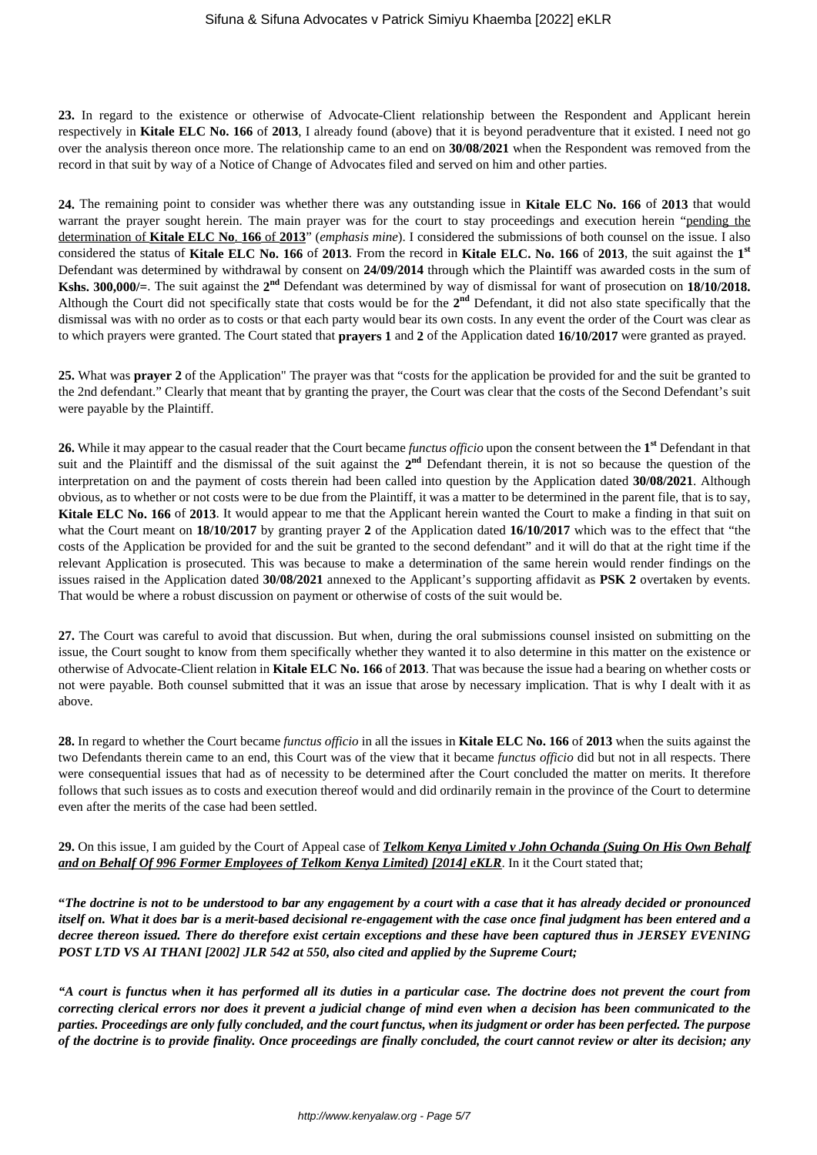**23.** In regard to the existence or otherwise of Advocate-Client relationship between the Respondent and Applicant herein respectively in **Kitale ELC No. 166** of **2013**, I already found (above) that it is beyond peradventure that it existed. I need not go over the analysis thereon once more. The relationship came to an end on **30/08/2021** when the Respondent was removed from the record in that suit by way of a Notice of Change of Advocates filed and served on him and other parties.

**24.** The remaining point to consider was whether there was any outstanding issue in **Kitale ELC No. 166** of **2013** that would warrant the prayer sought herein. The main prayer was for the court to stay proceedings and execution herein "pending the determination of **Kitale ELC No**. **166** of **2013**" (*emphasis mine*). I considered the submissions of both counsel on the issue. I also considered the status of **Kitale ELC No. 166** of **2013**. From the record in **Kitale ELC. No. 166** of **2013**, the suit against the **1 st** Defendant was determined by withdrawal by consent on **24/09/2014** through which the Plaintiff was awarded costs in the sum of **Kshs. 300,000/**=. The suit against the  $2^{nd}$  Defendant was determined by way of dismissal for want of prosecution on 18/10/2018. Although the Court did not specifically state that costs would be for the 2<sup>nd</sup> Defendant, it did not also state specifically that the dismissal was with no order as to costs or that each party would bear its own costs. In any event the order of the Court was clear as to which prayers were granted. The Court stated that **prayers 1** and **2** of the Application dated **16/10/2017** were granted as prayed.

**25.** What was **prayer 2** of the Application" The prayer was that "costs for the application be provided for and the suit be granted to the 2nd defendant." Clearly that meant that by granting the prayer, the Court was clear that the costs of the Second Defendant's suit were payable by the Plaintiff.

**26.** While it may appear to the casual reader that the Court became *functus officio* upon the consent between the **1 st** Defendant in that suit and the Plaintiff and the dismissal of the suit against the  $2<sup>nd</sup>$  Defendant therein, it is not so because the question of the interpretation on and the payment of costs therein had been called into question by the Application dated **30/08/2021**. Although obvious, as to whether or not costs were to be due from the Plaintiff, it was a matter to be determined in the parent file, that is to say, **Kitale ELC No. 166** of **2013**. It would appear to me that the Applicant herein wanted the Court to make a finding in that suit on what the Court meant on **18/10/2017** by granting prayer **2** of the Application dated **16/10/2017** which was to the effect that "the costs of the Application be provided for and the suit be granted to the second defendant" and it will do that at the right time if the relevant Application is prosecuted. This was because to make a determination of the same herein would render findings on the issues raised in the Application dated **30/08/2021** annexed to the Applicant's supporting affidavit as **PSK 2** overtaken by events. That would be where a robust discussion on payment or otherwise of costs of the suit would be.

**27.** The Court was careful to avoid that discussion. But when, during the oral submissions counsel insisted on submitting on the issue, the Court sought to know from them specifically whether they wanted it to also determine in this matter on the existence or otherwise of Advocate-Client relation in **Kitale ELC No. 166** of **2013**. That was because the issue had a bearing on whether costs or not were payable. Both counsel submitted that it was an issue that arose by necessary implication. That is why I dealt with it as above.

**28.** In regard to whether the Court became *functus officio* in all the issues in **Kitale ELC No. 166** of **2013** when the suits against the two Defendants therein came to an end, this Court was of the view that it became *functus officio* did but not in all respects. There were consequential issues that had as of necessity to be determined after the Court concluded the matter on merits. It therefore follows that such issues as to costs and execution thereof would and did ordinarily remain in the province of the Court to determine even after the merits of the case had been settled.

**29.** On this issue, I am guided by the Court of Appeal case of *Telkom Kenya Limited v John Ochanda (Suing On His Own Behalf* and on Behalf Of 996 Former Employees of Telkom Kenya Limited) [2014] eKLR. In it the Court stated that;

**"***The doctrine is not to be understood to bar any engagement by a court with a case that it has already decided or pronounced itself on. What it does bar is a merit-based decisional re-engagement with the case once final judgment has been entered and a decree thereon issued. There do therefore exist certain exceptions and these have been captured thus in JERSEY EVENING POST LTD VS AI THANI [2002] JLR 542 at 550, also cited and applied by the Supreme Court;*

*"A court is functus when it has performed all its duties in a particular case. The doctrine does not prevent the court from correcting clerical errors nor does it prevent a judicial change of mind even when a decision has been communicated to the parties. Proceedings are only fully concluded, and the court functus, when its judgment or order has been perfected. The purpose of the doctrine is to provide finality. Once proceedings are finally concluded, the court cannot review or alter its decision; any*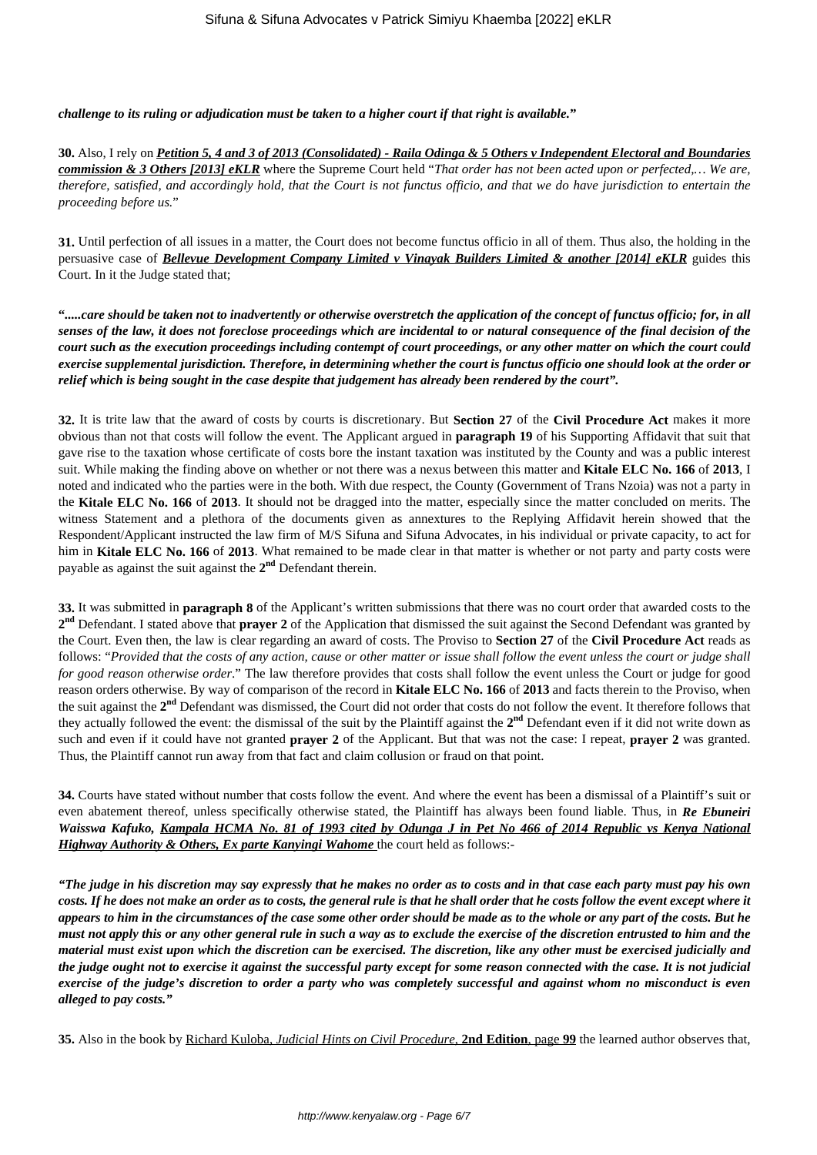*challenge to its ruling or adjudication must be taken to a higher court if that right is available.***"**

**30.** Also, I rely on *Petition 5, 4 and 3 of 2013 (Consolidated) - Raila Odinga & 5 Others v Independent Electoral and Boundaries commission & 3 Others [2013] eKLR* where the Supreme Court held "*That order has not been acted upon or perfected,… We are, therefore, satisfied, and accordingly hold, that the Court is not functus officio, and that we do have jurisdiction to entertain the proceeding before us.*"

**31.** Until perfection of all issues in a matter, the Court does not become functus officio in all of them. Thus also, the holding in the persuasive case of *Bellevue Development Company Limited v Vinayak Builders Limited & another [2014] eKLR* guides this Court. In it the Judge stated that;

**"***.....care should be taken not to inadvertently or otherwise overstretch the application of the concept of functus officio; for, in all senses of the law, it does not foreclose proceedings which are incidental to or natural consequence of the final decision of the court such as the execution proceedings including contempt of court proceedings, or any other matter on which the court could exercise supplemental jurisdiction. Therefore, in determining whether the court is functus officio one should look at the order or relief which is being sought in the case despite that judgement has already been rendered by the court".* 

**32.** It is trite law that the award of costs by courts is discretionary. But **Section 27** of the **Civil Procedure Act** makes it more obvious than not that costs will follow the event. The Applicant argued in **paragraph 19** of his Supporting Affidavit that suit that gave rise to the taxation whose certificate of costs bore the instant taxation was instituted by the County and was a public interest suit. While making the finding above on whether or not there was a nexus between this matter and **Kitale ELC No. 166** of **2013**, I noted and indicated who the parties were in the both. With due respect, the County (Government of Trans Nzoia) was not a party in the **Kitale ELC No. 166** of **2013**. It should not be dragged into the matter, especially since the matter concluded on merits. The witness Statement and a plethora of the documents given as annextures to the Replying Affidavit herein showed that the Respondent/Applicant instructed the law firm of M/S Sifuna and Sifuna Advocates, in his individual or private capacity, to act for him in **Kitale ELC No. 166** of **2013**. What remained to be made clear in that matter is whether or not party and party costs were payable as against the suit against the **2 nd** Defendant therein.

**33.** It was submitted in **paragraph 8** of the Applicant's written submissions that there was no court order that awarded costs to the **2 nd** Defendant. I stated above that **prayer 2** of the Application that dismissed the suit against the Second Defendant was granted by the Court. Even then, the law is clear regarding an award of costs. The Proviso to **Section 27** of the **Civil Procedure Act** reads as follows: "*Provided that the costs of any action, cause or other matter or issue shall follow the event unless the court or judge shall for good reason otherwise order.*" The law therefore provides that costs shall follow the event unless the Court or judge for good reason orders otherwise. By way of comparison of the record in **Kitale ELC No. 166** of **2013** and facts therein to the Proviso, when the suit against the **2 nd** Defendant was dismissed, the Court did not order that costs do not follow the event. It therefore follows that they actually followed the event: the dismissal of the suit by the Plaintiff against the **2 nd** Defendant even if it did not write down as such and even if it could have not granted **prayer 2** of the Applicant. But that was not the case: I repeat, **prayer 2** was granted. Thus, the Plaintiff cannot run away from that fact and claim collusion or fraud on that point.

**34.** Courts have stated without number that costs follow the event. And where the event has been a dismissal of a Plaintiff's suit or even abatement thereof, unless specifically otherwise stated, the Plaintiff has always been found liable. Thus, in *Re Ebuneiri Waisswa Kafuko, Kampala HCMA No. 81 of 1993 cited by Odunga J in Pet No 466 of 2014 Republic vs Kenya National Highway Authority & Others, Ex parte Kanyingi Wahome* the court held as follows:-

*"The judge in his discretion may say expressly that he makes no order as to costs and in that case each party must pay his own costs. If he does not make an order as to costs, the general rule is that he shall order that he costs follow the event except where it appears to him in the circumstances of the case some other order should be made as to the whole or any part of the costs. But he must not apply this or any other general rule in such a way as to exclude the exercise of the discretion entrusted to him and the material must exist upon which the discretion can be exercised. The discretion, like any other must be exercised judicially and the judge ought not to exercise it against the successful party except for some reason connected with the case. It is not judicial exercise of the judge's discretion to order a party who was completely successful and against whom no misconduct is even alleged to pay costs."* 

**35.** Also in the book by Richard Kuloba, *Judicial Hints on Civil Procedure*, **2nd Edition**, page **99** the learned author observes that,